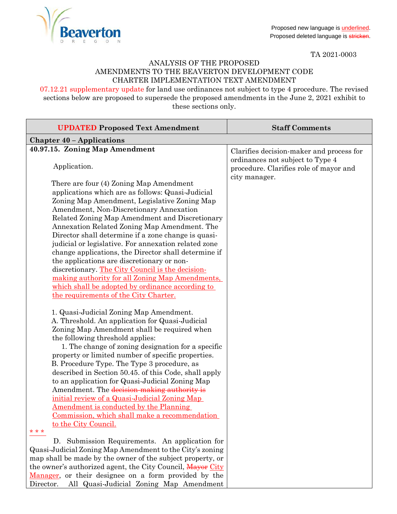

TA 2021-0003

## ANALYSIS OF THE PROPOSED AMENDMENTS TO THE BEAVERTON DEVELOPMENT CODE CHARTER IMPLEMENTATION TEXT AMENDMENT

07.12.21 supplementary update for land use ordinances not subject to type 4 procedure. The revised sections below are proposed to supersede the proposed amendments in the June 2, 2021 exhibit to these sections only.

| <b>UPDATED Proposed Text Amendment</b>                                                                                                                                                                                                                                                                                                                                                                                                                                                                                                                                                                                                                                                                             | <b>Staff Comments</b>                                                                       |
|--------------------------------------------------------------------------------------------------------------------------------------------------------------------------------------------------------------------------------------------------------------------------------------------------------------------------------------------------------------------------------------------------------------------------------------------------------------------------------------------------------------------------------------------------------------------------------------------------------------------------------------------------------------------------------------------------------------------|---------------------------------------------------------------------------------------------|
| <b>Chapter 40 - Applications</b>                                                                                                                                                                                                                                                                                                                                                                                                                                                                                                                                                                                                                                                                                   |                                                                                             |
| 40.97.15. Zoning Map Amendment                                                                                                                                                                                                                                                                                                                                                                                                                                                                                                                                                                                                                                                                                     | Clarifies decision-maker and process for                                                    |
| Application.                                                                                                                                                                                                                                                                                                                                                                                                                                                                                                                                                                                                                                                                                                       | ordinances not subject to Type 4<br>procedure. Clarifies role of mayor and<br>city manager. |
| There are four (4) Zoning Map Amendment<br>applications which are as follows: Quasi-Judicial<br>Zoning Map Amendment, Legislative Zoning Map<br>Amendment, Non-Discretionary Annexation<br>Related Zoning Map Amendment and Discretionary<br>Annexation Related Zoning Map Amendment. The<br>Director shall determine if a zone change is quasi-<br>judicial or legislative. For annexation related zone<br>change applications, the Director shall determine if<br>the applications are discretionary or non-<br>discretionary. The City Council is the decision-<br>making authority for all Zoning Map Amendments.<br>which shall be adopted by ordinance according to<br>the requirements of the City Charter. |                                                                                             |
| 1. Quasi-Judicial Zoning Map Amendment.<br>A. Threshold. An application for Quasi-Judicial<br>Zoning Map Amendment shall be required when<br>the following threshold applies:<br>1. The change of zoning designation for a specific<br>property or limited number of specific properties.<br>B. Procedure Type. The Type 3 procedure, as<br>described in Section 50.45. of this Code, shall apply<br>to an application for Quasi-Judicial Zoning Map<br>Amendment. The decision-making authority is<br>initial review of a Quasi-Judicial Zoning Map<br><u>Amendment is conducted by the Planning</u><br>Commission, which shall make a recommendation<br>to the City Council.<br>* * *                            |                                                                                             |
| D. Submission Requirements. An application for<br>Quasi-Judicial Zoning Map Amendment to the City's zoning<br>map shall be made by the owner of the subject property, or<br>the owner's authorized agent, the City Council, Mayor City<br>Manager, or their designee on a form provided by the<br>Director.<br>All Quasi-Judicial Zoning Map Amendment                                                                                                                                                                                                                                                                                                                                                             |                                                                                             |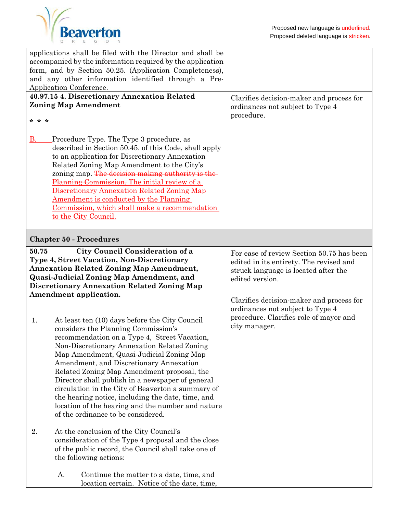

| applications shall be filed with the Director and shall be<br>accompanied by the information required by the application<br>form, and by Section 50.25. (Application Completeness),                                                                                                                                                                                                                                                                                                                                                                                                                                                                                                                                                                                                                                                                                             |                                                                                                                                                                                                                                                                                            |  |
|---------------------------------------------------------------------------------------------------------------------------------------------------------------------------------------------------------------------------------------------------------------------------------------------------------------------------------------------------------------------------------------------------------------------------------------------------------------------------------------------------------------------------------------------------------------------------------------------------------------------------------------------------------------------------------------------------------------------------------------------------------------------------------------------------------------------------------------------------------------------------------|--------------------------------------------------------------------------------------------------------------------------------------------------------------------------------------------------------------------------------------------------------------------------------------------|--|
| and any other information identified through a Pre-<br>Application Conference.                                                                                                                                                                                                                                                                                                                                                                                                                                                                                                                                                                                                                                                                                                                                                                                                  |                                                                                                                                                                                                                                                                                            |  |
| 40.97.15 4. Discretionary Annexation Related                                                                                                                                                                                                                                                                                                                                                                                                                                                                                                                                                                                                                                                                                                                                                                                                                                    | Clarifies decision-maker and process for                                                                                                                                                                                                                                                   |  |
| <b>Zoning Map Amendment</b>                                                                                                                                                                                                                                                                                                                                                                                                                                                                                                                                                                                                                                                                                                                                                                                                                                                     | ordinances not subject to Type 4                                                                                                                                                                                                                                                           |  |
|                                                                                                                                                                                                                                                                                                                                                                                                                                                                                                                                                                                                                                                                                                                                                                                                                                                                                 | procedure.                                                                                                                                                                                                                                                                                 |  |
| * * *                                                                                                                                                                                                                                                                                                                                                                                                                                                                                                                                                                                                                                                                                                                                                                                                                                                                           |                                                                                                                                                                                                                                                                                            |  |
| <b>B.</b><br>Procedure Type. The Type 3 procedure, as<br>described in Section 50.45. of this Code, shall apply<br>to an application for Discretionary Annexation<br>Related Zoning Map Amendment to the City's<br>zoning map. The decision making authority is the<br>Planning Commission. The initial review of a<br>Discretionary Annexation Related Zoning Map<br>Amendment is conducted by the Planning<br>Commission, which shall make a recommendation<br>to the City Council.                                                                                                                                                                                                                                                                                                                                                                                            |                                                                                                                                                                                                                                                                                            |  |
| <b>Chapter 50 - Procedures</b>                                                                                                                                                                                                                                                                                                                                                                                                                                                                                                                                                                                                                                                                                                                                                                                                                                                  |                                                                                                                                                                                                                                                                                            |  |
| 50.75<br>City Council Consideration of a<br><b>Type 4, Street Vacation, Non-Discretionary</b><br><b>Annexation Related Zoning Map Amendment,</b><br><b>Quasi-Judicial Zoning Map Amendment, and</b><br><b>Discretionary Annexation Related Zoning Map</b><br>Amendment application.<br>At least ten (10) days before the City Council<br>1.<br>considers the Planning Commission's<br>recommendation on a Type 4, Street Vacation,<br>Non-Discretionary Annexation Related Zoning<br>Map Amendment, Quasi-Judicial Zoning Map<br>Amendment, and Discretionary Annexation<br>Related Zoning Map Amendment proposal, the<br>Director shall publish in a newspaper of general<br>circulation in the City of Beaverton a summary of<br>the hearing notice, including the date, time, and<br>location of the hearing and the number and nature<br>of the ordinance to be considered. | For ease of review Section 50.75 has been<br>edited in its entirety. The revised and<br>struck language is located after the<br>edited version.<br>Clarifies decision-maker and process for<br>ordinances not subject to Type 4<br>procedure. Clarifies role of mayor and<br>city manager. |  |
| 2.<br>At the conclusion of the City Council's<br>consideration of the Type 4 proposal and the close<br>of the public record, the Council shall take one of<br>the following actions:                                                                                                                                                                                                                                                                                                                                                                                                                                                                                                                                                                                                                                                                                            |                                                                                                                                                                                                                                                                                            |  |
| Continue the matter to a date, time, and<br>А.                                                                                                                                                                                                                                                                                                                                                                                                                                                                                                                                                                                                                                                                                                                                                                                                                                  |                                                                                                                                                                                                                                                                                            |  |

location certain. Notice of the date, time,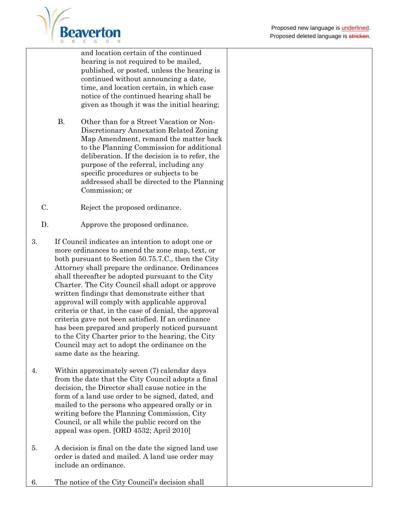

and location certain of the continued hearing is not required to be mailed, published, or posted, unless the hearing is continued without announcing a date, time, and location certain, in which case notice of the continued hearing shall be given as though it was the initial hearing;

- B. Other than for a Street Vacation or Non-Discretionary Annexation Related Zoning Map Amendment, remand the matter back to the Planning Commission for additional deliberation. If the decision is to refer, the purpose of the referral, including any specific procedures or subjects to be addressed shall be directed to the Planning Commission; or
- C. Reject the proposed ordinance.
- D. Approve the proposed ordinance.
- 3. If Council indicates an intention to adopt one or more ordinances to amend the zone map, text, or both pursuant to Section 50.75.7.C., then the City Attorney shall prepare the ordinance. Ordinances shall thereafter be adopted pursuant to the City Charter. The City Council shall adopt or approve written findings that demonstrate either that approval will comply with applicable approval criteria or that, in the case of denial, the approval criteria gave not been satisfied. If an ordinance has been prepared and properly noticed pursuant to the City Charter prior to the hearing, the City Council may act to adopt the ordinance on the same date as the hearing.
- 4. Within approximately seven (7) calendar days from the date that the City Council adopts a final decision, the Director shall cause notice in the form of a land use order to be signed, dated, and mailed to the persons who appeared orally or in writing before the Planning Commission, City Council, or all while the public record on the appeal was open. [ORD 4532; April 2010]
- 5. A decision is final on the date the signed land use order is dated and mailed. A land use order may include an ordinance.
- 6. The notice of the City Council's decision shall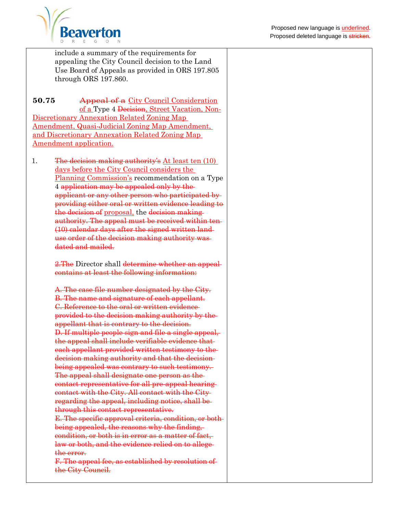

include a summary of the requirements for appealing the City Council decision to the Land Use Board of Appeals as provided in ORS 197.805 through ORS 197.860.

**50.75** Appeal of a City Council Consideration of a Type 4 Decision, Street Vacation, Non-Discretionary Annexation Related Zoning Map Amendment, Quasi-Judicial Zoning Map Amendment, and Discretionary Annexation Related Zoning Map Amendment application.

1. The decision making authority's  $\Delta t$  least ten (10) days before the City Council considers the Planning Commission's recommendation on a Type 4 application may be appealed only by the applicant or any other person who participated by providing either oral or written evidence leading to the decision of proposal, the decision making authority. The appeal must be received within ten (10) calendar days after the signed written land use order of the decision making authority was dated and mailed.

> 2. The Director shall determine whether an appealcontains at least the following information:

> A. The case file number designated by the City. B. The name and signature of each appellant. C. Reference to the oral or written evidence provided to the decision making authority by the appellant that is contrary to the decision. D. If multiple people sign and file a single appeal, the appeal shall include verifiable evidence that each appellant provided written testimony to thedecision making authority and that the decision being appealed was contrary to such testimony. The appeal shall designate one person as the contact representative for all pre-appeal hearing contact with the City. All contact with the City regarding the appeal, including notice, shall be through this contact representative. E. The specific approval criteria, condition, or both being appealed, the reasons why the finding, condition, or both is in error as a matter of fact, law or both, and the evidence relied on to allege the error. F. The appeal fee, as established by resolution of

the City Council.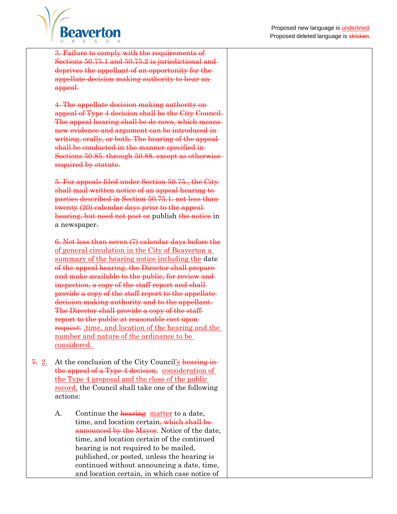

3. Failure to comply with the requirements of Sections 50.75.1 and 50.75.2 is jurisdictional and deprives the appellant of an opportunity for the appellate decision making authority to hear an appeal.

4. The appellate decision making authority on appeal of Type 4 decision shall be the City Council. The appeal hearing shall be de novo, which means new evidence and argument can be introduced in writing, orally, or both. The hearing of the appeal shall be conducted in the manner specified in Sections 50.85. through 50.88. except as otherwise required by statute.

5. For appeals filed under Section 50.75., the City shall mail written notice of an appeal hearing to parties described in Section 50.75.1. not less than twenty (20) calendar days prior to the appeal hearing, but need not post or publish the notice in a newspaper.

6. Not less than seven (7) calendar days before the of general circulation in the City of Beaverton a summary of the hearing notice including the date of the appeal hearing, the Director shall prepare and make available to the public, for review and inspection, a copy of the staff report and shall provide a copy of the staff report to the appellate decision making authority and to the appellant. The Director shall provide a copy of the staffreport to the public at reasonable cost uponrequest. ,time, and location of the hearing and the number and nature of the ordinance to be considered.

- 7. 2. At the conclusion of the City Council's hearing in the appeal of a Type 4 decision, consideration of the Type 4 proposal and the close of the public record, the Council shall take one of the following actions:
	- A. Continue the **hearing** matter to a date, time, and location certain, which shall be announced by the Mayor. Notice of the date, time, and location certain of the continued hearing is not required to be mailed, published, or posted, unless the hearing is continued without announcing a date, time, and location certain, in which case notice of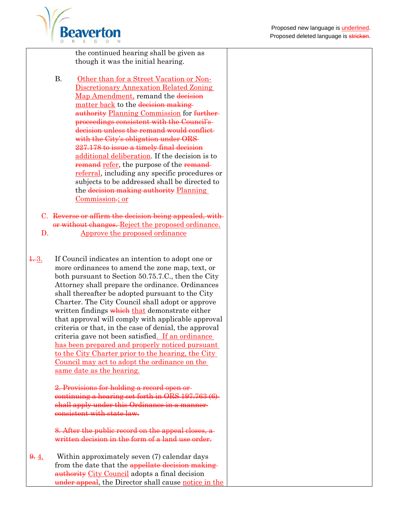

the continued hearing shall be given as though it was the initial hearing.

B. Other than for a Street Vacation or Non-Discretionary Annexation Related Zoning Map Amendment, remand the decision matter back to the decision making authority Planning Commission for furtherproceedings consistent with the Council's decision unless the remand would conflict with the City's obligation under ORS 227.178 to issue a timely final decision additional deliberation. If the decision is to remand refer, the purpose of the remandreferral, including any specific procedures or subjects to be addressed shall be directed to the decision making authority Planning Commission.; or

C. Reverse or affirm the decision being appealed, with or without changes. Reject the proposed ordinance. D. Approve the proposed ordinance

1. 3. If Council indicates an intention to adopt one or more ordinances to amend the zone map, text, or both pursuant to Section 50.75.7.C., then the City Attorney shall prepare the ordinance. Ordinances shall thereafter be adopted pursuant to the City Charter. The City Council shall adopt or approve written findings which that demonstrate either that approval will comply with applicable approval criteria or that, in the case of denial, the approval criteria gave not been satisfied. If an ordinance has been prepared and properly noticed pursuant to the City Charter prior to the hearing, the City Council may act to adopt the ordinance on the same date as the hearing.

> 2. Provisions for holding a record open or continuing a hearing set forth in ORS 197.763 (6) shall apply under this Ordinance in a manner consistent with state law.

8. After the public record on the appeal closes, a written decision in the form of a land use order.

 $\frac{9}{2}$ . Within approximately seven (7) calendar days from the date that the appellate decision makingauthority City Council adopts a final decision under appeal, the Director shall cause notice in the